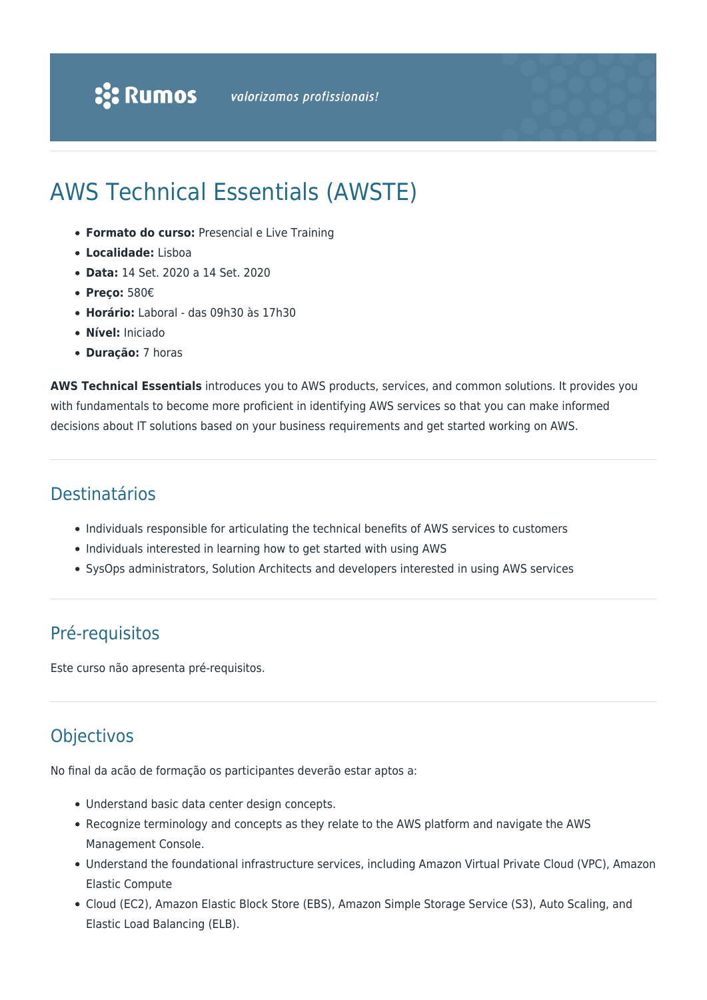# AWS Technical Essentials (AWSTE)

- **Formato do curso:** Presencial e Live Training
- **Localidade:** Lisboa
- **Data:** 14 Set. 2020 a 14 Set. 2020
- **Preço:** 580€
- **Horário:** Laboral das 09h30 às 17h30
- **Nível:** Iniciado
- **Duração:** 7 horas

**AWS Technical Essentials** introduces you to AWS products, services, and common solutions. It provides you with fundamentals to become more proficient in identifying AWS services so that you can make informed decisions about IT solutions based on your business requirements and get started working on AWS.

## Destinatários

- Individuals responsible for articulating the technical benefits of AWS services to customers
- Individuals interested in learning how to get started with using AWS
- SysOps administrators, Solution Architects and developers interested in using AWS services

## Pré-requisitos

Este curso não apresenta pré-requisitos.

## **Objectivos**

No final da acão de formação os participantes deverão estar aptos a:

- Understand basic data center design concepts.
- Recognize terminology and concepts as they relate to the AWS platform and navigate the AWS Management Console.
- Understand the foundational infrastructure services, including Amazon Virtual Private Cloud (VPC), Amazon Elastic Compute
- Cloud (EC2), Amazon Elastic Block Store (EBS), Amazon Simple Storage Service (S3), Auto Scaling, and Elastic Load Balancing (ELB).